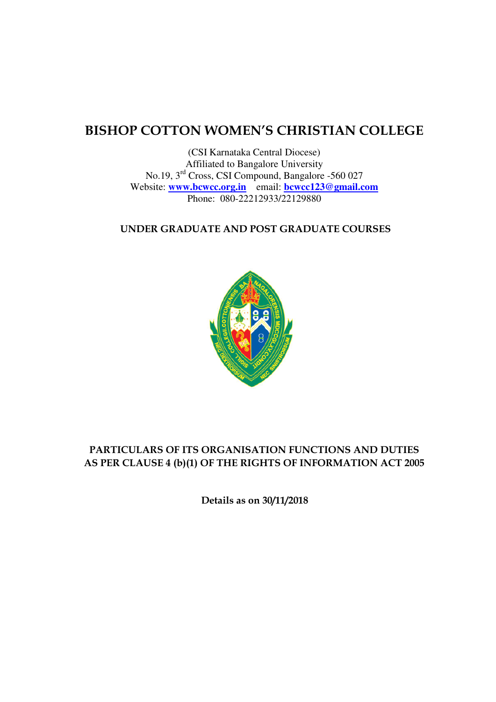# **BISHOP COTTON WOMEN'S CHRISTIAN COLLEGE**

(CSI Karnataka Central Diocese) Affiliated to Bangalore University No.19, 3rd Cross, CSI Compound, Bangalore -560 027 Website: **[www.bcwcc.org.in](http://www.bcwcc.org.in/)** email: **[bcwcc123@gmail.com](mailto:bcwcc123@gmail.com)** Phone: 080-22212933/22129880

### **UNDER GRADUATE AND POST GRADUATE COURSES**



# **PARTICULARS OF ITS ORGANISATION FUNCTIONS AND DUTIES AS PER CLAUSE 4 (b)(1) OF THE RIGHTS OF INFORMATION ACT 2005**

**Details as on 30/11/2018**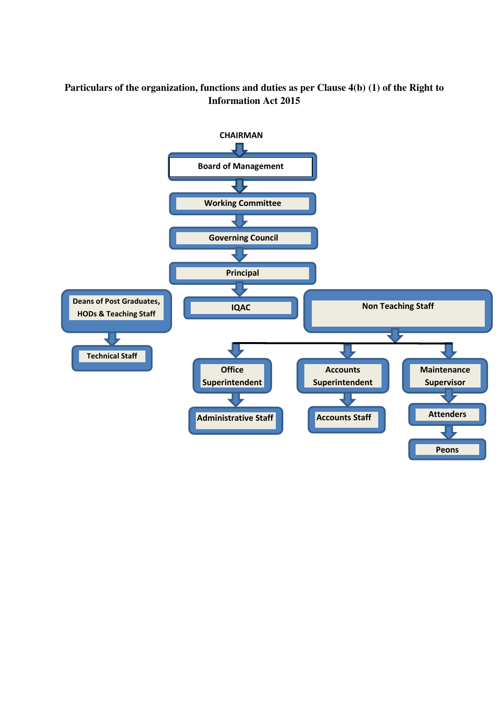# **Particulars of the organization, functions and duties as per Clause 4(b) (1) of the Right to Information Act 2015**

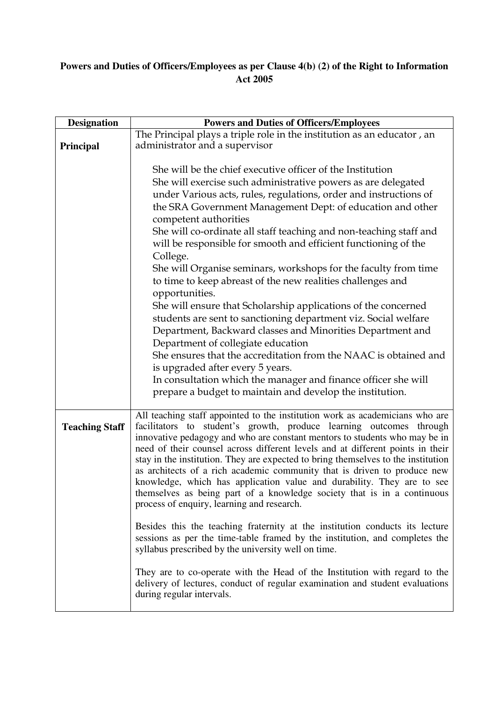# **Powers and Duties of Officers/Employees as per Clause 4(b) (2) of the Right to Information Act 2005**

| <b>Designation</b>    | <b>Powers and Duties of Officers/Employees</b>                                                                                                                                                                                                                                                                                                                                                                                                                                                                                                                                                                                                                                                                                                                                                                                                                                                                |
|-----------------------|---------------------------------------------------------------------------------------------------------------------------------------------------------------------------------------------------------------------------------------------------------------------------------------------------------------------------------------------------------------------------------------------------------------------------------------------------------------------------------------------------------------------------------------------------------------------------------------------------------------------------------------------------------------------------------------------------------------------------------------------------------------------------------------------------------------------------------------------------------------------------------------------------------------|
|                       | The Principal plays a triple role in the institution as an educator, an                                                                                                                                                                                                                                                                                                                                                                                                                                                                                                                                                                                                                                                                                                                                                                                                                                       |
| Principal             | administrator and a supervisor                                                                                                                                                                                                                                                                                                                                                                                                                                                                                                                                                                                                                                                                                                                                                                                                                                                                                |
|                       | She will be the chief executive officer of the Institution<br>She will exercise such administrative powers as are delegated<br>under Various acts, rules, regulations, order and instructions of<br>the SRA Government Management Dept: of education and other<br>competent authorities<br>She will co-ordinate all staff teaching and non-teaching staff and<br>will be responsible for smooth and efficient functioning of the<br>College.<br>She will Organise seminars, workshops for the faculty from time<br>to time to keep abreast of the new realities challenges and<br>opportunities.<br>She will ensure that Scholarship applications of the concerned<br>students are sent to sanctioning department viz. Social welfare<br>Department, Backward classes and Minorities Department and<br>Department of collegiate education<br>She ensures that the accreditation from the NAAC is obtained and |
|                       | is upgraded after every 5 years.<br>In consultation which the manager and finance officer she will                                                                                                                                                                                                                                                                                                                                                                                                                                                                                                                                                                                                                                                                                                                                                                                                            |
|                       | prepare a budget to maintain and develop the institution.                                                                                                                                                                                                                                                                                                                                                                                                                                                                                                                                                                                                                                                                                                                                                                                                                                                     |
| <b>Teaching Staff</b> | All teaching staff appointed to the institution work as academicians who are<br>facilitators to student's growth, produce learning outcomes through<br>innovative pedagogy and who are constant mentors to students who may be in<br>need of their counsel across different levels and at different points in their<br>stay in the institution. They are expected to bring themselves to the institution<br>as architects of a rich academic community that is driven to produce new<br>knowledge, which has application value and durability. They are to see<br>themselves as being part of a knowledge society that is in a continuous<br>process of enquiry, learning and research.                                                                                                                                                                                                                       |
|                       | Besides this the teaching fraternity at the institution conducts its lecture<br>sessions as per the time-table framed by the institution, and completes the<br>syllabus prescribed by the university well on time.                                                                                                                                                                                                                                                                                                                                                                                                                                                                                                                                                                                                                                                                                            |
|                       | They are to co-operate with the Head of the Institution with regard to the<br>delivery of lectures, conduct of regular examination and student evaluations<br>during regular intervals.                                                                                                                                                                                                                                                                                                                                                                                                                                                                                                                                                                                                                                                                                                                       |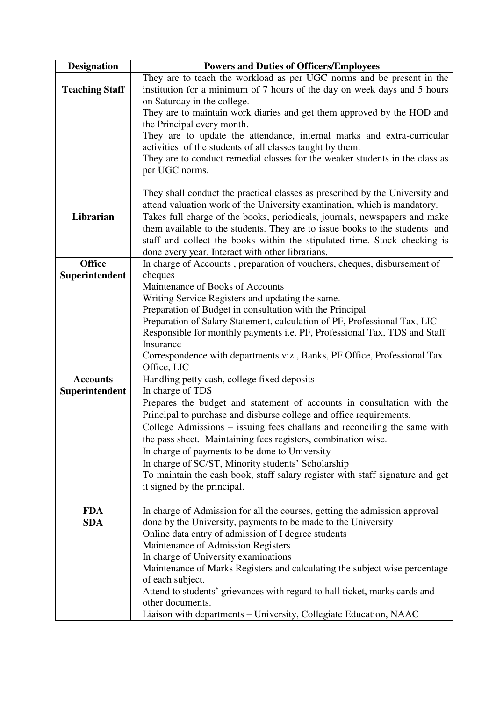| <b>Designation</b>    | <b>Powers and Duties of Officers/Employees</b>                                                                                            |
|-----------------------|-------------------------------------------------------------------------------------------------------------------------------------------|
|                       | They are to teach the workload as per UGC norms and be present in the                                                                     |
| <b>Teaching Staff</b> | institution for a minimum of 7 hours of the day on week days and 5 hours                                                                  |
|                       | on Saturday in the college.                                                                                                               |
|                       | They are to maintain work diaries and get them approved by the HOD and                                                                    |
|                       | the Principal every month.                                                                                                                |
|                       | They are to update the attendance, internal marks and extra-curricular                                                                    |
|                       | activities of the students of all classes taught by them.<br>They are to conduct remedial classes for the weaker students in the class as |
|                       | per UGC norms.                                                                                                                            |
|                       |                                                                                                                                           |
|                       | They shall conduct the practical classes as prescribed by the University and                                                              |
|                       | attend valuation work of the University examination, which is mandatory.                                                                  |
| Librarian             | Takes full charge of the books, periodicals, journals, newspapers and make                                                                |
|                       | them available to the students. They are to issue books to the students and                                                               |
|                       | staff and collect the books within the stipulated time. Stock checking is                                                                 |
|                       | done every year. Interact with other librarians.                                                                                          |
| <b>Office</b>         | In charge of Accounts , preparation of vouchers, cheques, disbursement of                                                                 |
| Superintendent        | cheques                                                                                                                                   |
|                       | Maintenance of Books of Accounts                                                                                                          |
|                       | Writing Service Registers and updating the same.                                                                                          |
|                       | Preparation of Budget in consultation with the Principal                                                                                  |
|                       | Preparation of Salary Statement, calculation of PF, Professional Tax, LIC                                                                 |
|                       | Responsible for monthly payments i.e. PF, Professional Tax, TDS and Staff                                                                 |
|                       | Insurance                                                                                                                                 |
|                       | Correspondence with departments viz., Banks, PF Office, Professional Tax<br>Office, LIC                                                   |
| <b>Accounts</b>       | Handling petty cash, college fixed deposits                                                                                               |
| Superintendent        | In charge of TDS                                                                                                                          |
|                       | Prepares the budget and statement of accounts in consultation with the                                                                    |
|                       | Principal to purchase and disburse college and office requirements.                                                                       |
|                       | College Admissions – issuing fees challans and reconciling the same with                                                                  |
|                       | the pass sheet. Maintaining fees registers, combination wise.                                                                             |
|                       | In charge of payments to be done to University                                                                                            |
|                       | In charge of SC/ST, Minority students' Scholarship                                                                                        |
|                       | To maintain the cash book, staff salary register with staff signature and get                                                             |
|                       | it signed by the principal.                                                                                                               |
|                       |                                                                                                                                           |
| <b>FDA</b>            | In charge of Admission for all the courses, getting the admission approval                                                                |
| <b>SDA</b>            | done by the University, payments to be made to the University                                                                             |
|                       | Online data entry of admission of I degree students                                                                                       |
|                       | Maintenance of Admission Registers                                                                                                        |
|                       | In charge of University examinations                                                                                                      |
|                       | Maintenance of Marks Registers and calculating the subject wise percentage                                                                |
|                       | of each subject.<br>Attend to students' grievances with regard to hall ticket, marks cards and                                            |
|                       | other documents.                                                                                                                          |
|                       | Liaison with departments - University, Collegiate Education, NAAC                                                                         |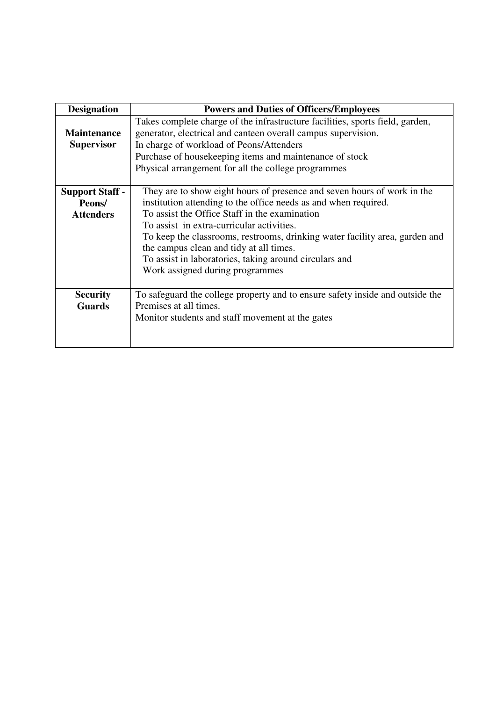| <b>Designation</b>                                   | <b>Powers and Duties of Officers/Employees</b>                                                                                                                                                                                                                                                                                                                                                                                                                  |
|------------------------------------------------------|-----------------------------------------------------------------------------------------------------------------------------------------------------------------------------------------------------------------------------------------------------------------------------------------------------------------------------------------------------------------------------------------------------------------------------------------------------------------|
| <b>Maintenance</b><br><b>Supervisor</b>              | Takes complete charge of the infrastructure facilities, sports field, garden,<br>generator, electrical and canteen overall campus supervision.<br>In charge of workload of Peons/Attenders<br>Purchase of housekeeping items and maintenance of stock<br>Physical arrangement for all the college programmes                                                                                                                                                    |
| <b>Support Staff -</b><br>Peons/<br><b>Attenders</b> | They are to show eight hours of presence and seven hours of work in the<br>institution attending to the office needs as and when required.<br>To assist the Office Staff in the examination<br>To assist in extra-curricular activities.<br>To keep the classrooms, restrooms, drinking water facility area, garden and<br>the campus clean and tidy at all times.<br>To assist in laboratories, taking around circulars and<br>Work assigned during programmes |
| <b>Security</b><br><b>Guards</b>                     | To safeguard the college property and to ensure safety inside and outside the<br>Premises at all times.<br>Monitor students and staff movement at the gates                                                                                                                                                                                                                                                                                                     |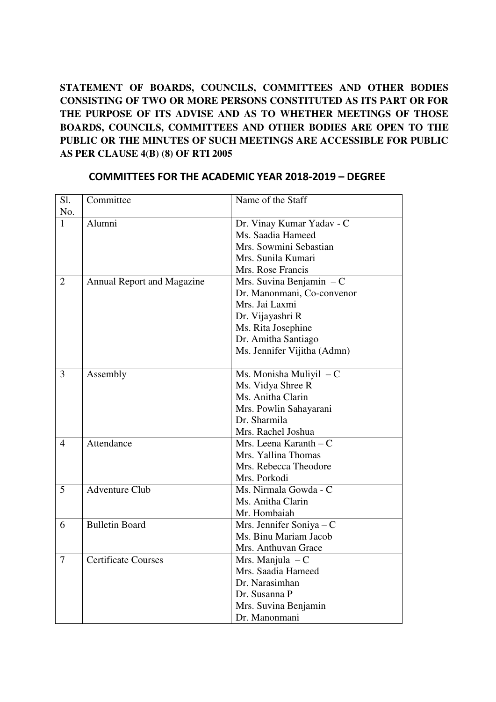**STATEMENT OF BOARDS, COUNCILS, COMMITTEES AND OTHER BODIES CONSISTING OF TWO OR MORE PERSONS CONSTITUTED AS ITS PART OR FOR THE PURPOSE OF ITS ADVISE AND AS TO WHETHER MEETINGS OF THOSE BOARDS, COUNCILS, COMMITTEES AND OTHER BODIES ARE OPEN TO THE PUBLIC OR THE MINUTES OF SUCH MEETINGS ARE ACCESSIBLE FOR PUBLIC AS PER CLAUSE 4(B) (8) OF RTI 2005** 

| Sl.            | Committee                         | Name of the Staff           |
|----------------|-----------------------------------|-----------------------------|
| No.            |                                   |                             |
| $\mathbf{1}$   | Alumni                            | Dr. Vinay Kumar Yadav - C   |
|                |                                   | Ms. Saadia Hameed           |
|                |                                   | Mrs. Sowmini Sebastian      |
|                |                                   | Mrs. Sunila Kumari          |
|                |                                   | Mrs. Rose Francis           |
| $\overline{2}$ | <b>Annual Report and Magazine</b> | Mrs. Suvina Benjamin $-C$   |
|                |                                   | Dr. Manonmani, Co-convenor  |
|                |                                   | Mrs. Jai Laxmi              |
|                |                                   | Dr. Vijayashri R            |
|                |                                   | Ms. Rita Josephine          |
|                |                                   | Dr. Amitha Santiago         |
|                |                                   | Ms. Jennifer Vijitha (Admn) |
|                |                                   |                             |
| 3              | Assembly                          | Ms. Monisha Muliyil $-C$    |
|                |                                   | Ms. Vidya Shree R           |
|                |                                   | Ms. Anitha Clarin           |
|                |                                   | Mrs. Powlin Sahayarani      |
|                |                                   | Dr. Sharmila                |
|                |                                   | Mrs. Rachel Joshua          |
| 4              | Attendance                        | Mrs. Leena Karanth $-C$     |
|                |                                   | Mrs. Yallina Thomas         |
|                |                                   | Mrs. Rebecca Theodore       |
|                |                                   | Mrs. Porkodi                |
| 5              | <b>Adventure Club</b>             | Ms. Nirmala Gowda - C       |
|                |                                   | Ms. Anitha Clarin           |
|                |                                   | Mr. Hombaiah                |
| 6              | <b>Bulletin Board</b>             | Mrs. Jennifer Soniya - C    |
|                |                                   | Ms. Binu Mariam Jacob       |
|                |                                   | Mrs. Anthuvan Grace         |
| $\overline{7}$ | <b>Certificate Courses</b>        | Mrs. Manjula $-C$           |
|                |                                   | Mrs. Saadia Hameed          |
|                |                                   | Dr. Narasimhan              |
|                |                                   | Dr. Susanna P               |
|                |                                   | Mrs. Suvina Benjamin        |
|                |                                   | Dr. Manonmani               |

# **COMMITTEES FOR THE ACADEMIC YEAR 2018-2019 – DEGREE**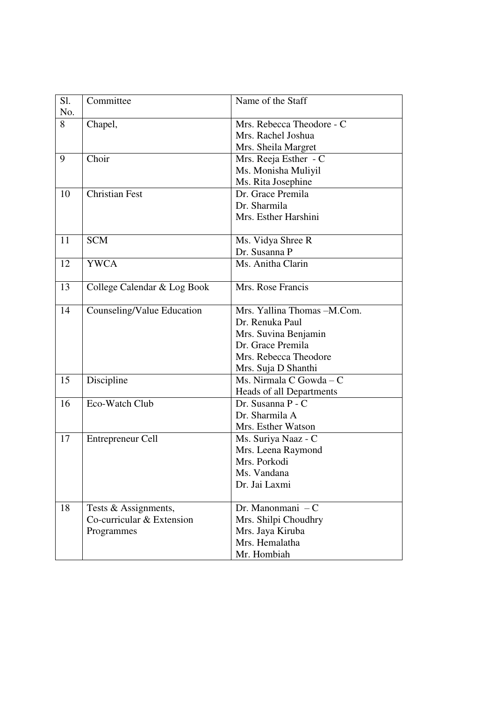| S1.<br>No. | Committee                   | Name of the Staff           |
|------------|-----------------------------|-----------------------------|
| 8          | Chapel,                     | Mrs. Rebecca Theodore - C   |
|            |                             | Mrs. Rachel Joshua          |
|            |                             | Mrs. Sheila Margret         |
| 9          | Choir                       | Mrs. Reeja Esther - C       |
|            |                             | Ms. Monisha Muliyil         |
|            |                             | Ms. Rita Josephine          |
| 10         | <b>Christian Fest</b>       | Dr. Grace Premila           |
|            |                             | Dr. Sharmila                |
|            |                             | Mrs. Esther Harshini        |
| 11         | <b>SCM</b>                  | Ms. Vidya Shree R           |
|            |                             | Dr. Susanna P               |
| 12         | <b>YWCA</b>                 | Ms. Anitha Clarin           |
| 13         | College Calendar & Log Book | Mrs. Rose Francis           |
| 14         | Counseling/Value Education  | Mrs. Yallina Thomas -M.Com. |
|            |                             | Dr. Renuka Paul             |
|            |                             | Mrs. Suvina Benjamin        |
|            |                             | Dr. Grace Premila           |
|            |                             | Mrs. Rebecca Theodore       |
|            |                             | Mrs. Suja D Shanthi         |
| 15         | Discipline                  | Ms. Nirmala C Gowda - C     |
|            |                             | Heads of all Departments    |
| 16         | Eco-Watch Club              | Dr. Susanna P - C           |
|            |                             | Dr. Sharmila A              |
|            |                             | Mrs. Esther Watson          |
| 17         | Entrepreneur Cell           | Ms. Suriya Naaz - C         |
|            |                             | Mrs. Leena Raymond          |
|            |                             | Mrs. Porkodi                |
|            |                             | Ms. Vandana                 |
|            |                             | Dr. Jai Laxmi               |
| 18         | Tests & Assignments,        | Dr. Manonmani $-C$          |
|            | Co-curricular & Extension   | Mrs. Shilpi Choudhry        |
|            | Programmes                  | Mrs. Jaya Kiruba            |
|            |                             | Mrs. Hemalatha              |
|            |                             | Mr. Hombiah                 |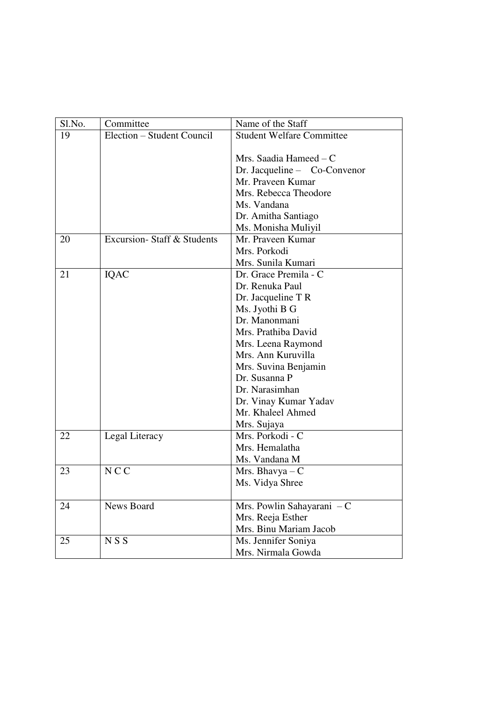| Sl.No. | Committee                          | Name of the Staff                |
|--------|------------------------------------|----------------------------------|
| 19     | Election – Student Council         | <b>Student Welfare Committee</b> |
|        |                                    |                                  |
|        |                                    | Mrs. Saadia Hameed $-C$          |
|        |                                    | Dr. Jacqueline - Co-Convenor     |
|        |                                    | Mr. Praveen Kumar                |
|        |                                    | Mrs. Rebecca Theodore            |
|        |                                    | Ms. Vandana                      |
|        |                                    | Dr. Amitha Santiago              |
|        |                                    | Ms. Monisha Muliyil              |
| 20     | <b>Excursion-</b> Staff & Students | Mr. Praveen Kumar                |
|        |                                    | Mrs. Porkodi                     |
|        |                                    | Mrs. Sunila Kumari               |
| 21     | <b>IQAC</b>                        | Dr. Grace Premila - C            |
|        |                                    | Dr. Renuka Paul                  |
|        |                                    | Dr. Jacqueline T R               |
|        |                                    | Ms. Jyothi B G                   |
|        |                                    | Dr. Manonmani                    |
|        |                                    | Mrs. Prathiba David              |
|        |                                    | Mrs. Leena Raymond               |
|        |                                    | Mrs. Ann Kuruvilla               |
|        |                                    | Mrs. Suvina Benjamin             |
|        |                                    | Dr. Susanna P                    |
|        |                                    | Dr. Narasimhan                   |
|        |                                    | Dr. Vinay Kumar Yadav            |
|        |                                    | Mr. Khaleel Ahmed                |
|        |                                    | Mrs. Sujaya                      |
| 22     | Legal Literacy                     | Mrs. Porkodi - C                 |
|        |                                    | Mrs. Hemalatha                   |
|        |                                    | Ms. Vandana M                    |
| 23     | <b>NCC</b>                         | Mrs. Bhavya $-C$                 |
|        |                                    | Ms. Vidya Shree                  |
|        |                                    |                                  |
| 24     | News Board                         | Mrs. Powlin Sahayarani - C       |
|        |                                    | Mrs. Reeja Esther                |
|        |                                    | Mrs. Binu Mariam Jacob           |
| 25     | NSS                                | Ms. Jennifer Soniya              |
|        |                                    | Mrs. Nirmala Gowda               |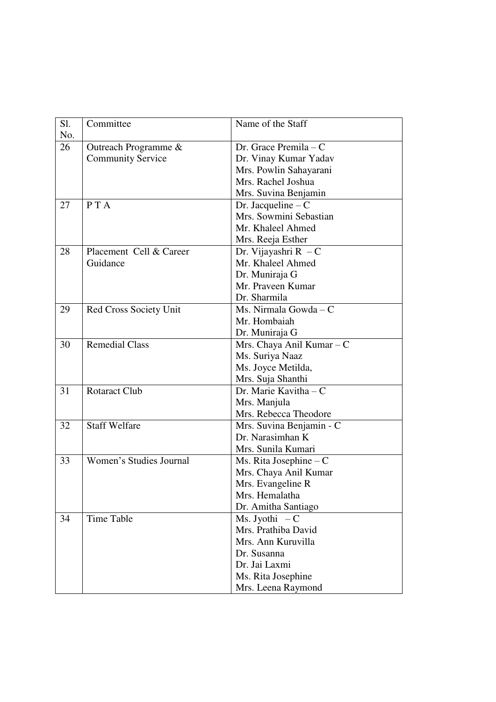| Sl. | Committee                | Name of the Staff         |
|-----|--------------------------|---------------------------|
| No. |                          |                           |
| 26  | Outreach Programme &     | Dr. Grace Premila – C     |
|     | <b>Community Service</b> | Dr. Vinay Kumar Yadav     |
|     |                          | Mrs. Powlin Sahayarani    |
|     |                          | Mrs. Rachel Joshua        |
|     |                          | Mrs. Suvina Benjamin      |
| 27  | P T A                    | Dr. Jacqueline $-C$       |
|     |                          | Mrs. Sowmini Sebastian    |
|     |                          | Mr. Khaleel Ahmed         |
|     |                          | Mrs. Reeja Esther         |
| 28  | Placement Cell & Career  | Dr. Vijayashri $R - C$    |
|     | Guidance                 | Mr. Khaleel Ahmed         |
|     |                          | Dr. Muniraja G            |
|     |                          | Mr. Praveen Kumar         |
|     |                          | Dr. Sharmila              |
| 29  | Red Cross Society Unit   | Ms. Nirmala Gowda - C     |
|     |                          | Mr. Hombaiah              |
|     |                          | Dr. Muniraja G            |
| 30  | <b>Remedial Class</b>    | Mrs. Chaya Anil Kumar - C |
|     |                          | Ms. Suriya Naaz           |
|     |                          | Ms. Joyce Metilda,        |
|     |                          | Mrs. Suja Shanthi         |
| 31  | <b>Rotaract Club</b>     | Dr. Marie Kavitha - C     |
|     |                          | Mrs. Manjula              |
|     |                          | Mrs. Rebecca Theodore     |
| 32  | <b>Staff Welfare</b>     | Mrs. Suvina Benjamin - C  |
|     |                          | Dr. Narasimhan K          |
|     |                          | Mrs. Sunila Kumari        |
| 33  | Women's Studies Journal  | Ms. Rita Josephine $-C$   |
|     |                          | Mrs. Chaya Anil Kumar     |
|     |                          | Mrs. Evangeline R         |
|     |                          | Mrs. Hemalatha            |
|     |                          | Dr. Amitha Santiago       |
| 34  | <b>Time Table</b>        | Ms. Jyothi $-C$           |
|     |                          | Mrs. Prathiba David       |
|     |                          | Mrs. Ann Kuruvilla        |
|     |                          | Dr. Susanna               |
|     |                          | Dr. Jai Laxmi             |
|     |                          | Ms. Rita Josephine        |
|     |                          | Mrs. Leena Raymond        |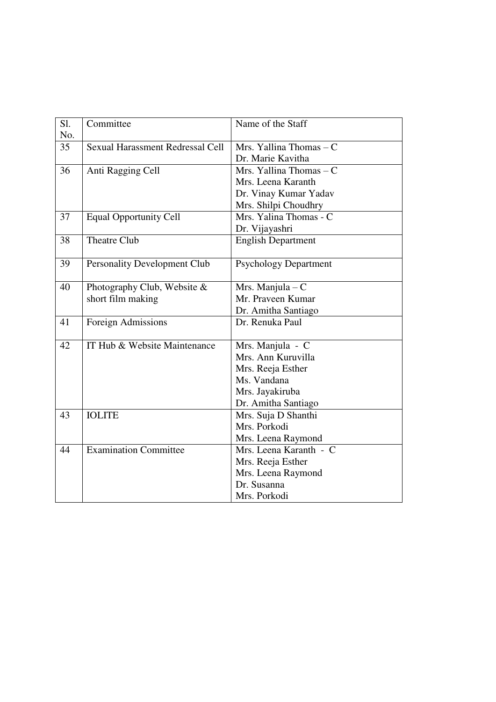| Sl. | Committee                               | Name of the Staff            |
|-----|-----------------------------------------|------------------------------|
| No. |                                         |                              |
| 35  | <b>Sexual Harassment Redressal Cell</b> | Mrs. Yallina Thomas - C      |
|     |                                         | Dr. Marie Kavitha            |
| 36  | Anti Ragging Cell                       | Mrs. Yallina Thomas - C      |
|     |                                         | Mrs. Leena Karanth           |
|     |                                         | Dr. Vinay Kumar Yadav        |
|     |                                         | Mrs. Shilpi Choudhry         |
| 37  | <b>Equal Opportunity Cell</b>           | Mrs. Yalina Thomas - C       |
|     |                                         | Dr. Vijayashri               |
| 38  | <b>Theatre Club</b>                     | <b>English Department</b>    |
| 39  | <b>Personality Development Club</b>     | <b>Psychology Department</b> |
|     |                                         |                              |
| 40  | Photography Club, Website &             | Mrs. Manjula $-C$            |
|     | short film making                       | Mr. Praveen Kumar            |
|     |                                         | Dr. Amitha Santiago          |
| 41  | Foreign Admissions                      | Dr. Renuka Paul              |
|     |                                         |                              |
| 42  | IT Hub & Website Maintenance            | Mrs. Manjula - C             |
|     |                                         | Mrs. Ann Kuruvilla           |
|     |                                         | Mrs. Reeja Esther            |
|     |                                         | Ms. Vandana                  |
|     |                                         | Mrs. Jayakiruba              |
|     |                                         | Dr. Amitha Santiago          |
| 43  | <b>IOLITE</b>                           | Mrs. Suja D Shanthi          |
|     |                                         | Mrs. Porkodi                 |
|     |                                         | Mrs. Leena Raymond           |
| 44  | <b>Examination Committee</b>            | Mrs. Leena Karanth - C       |
|     |                                         | Mrs. Reeja Esther            |
|     |                                         | Mrs. Leena Raymond           |
|     |                                         | Dr. Susanna                  |
|     |                                         | Mrs. Porkodi                 |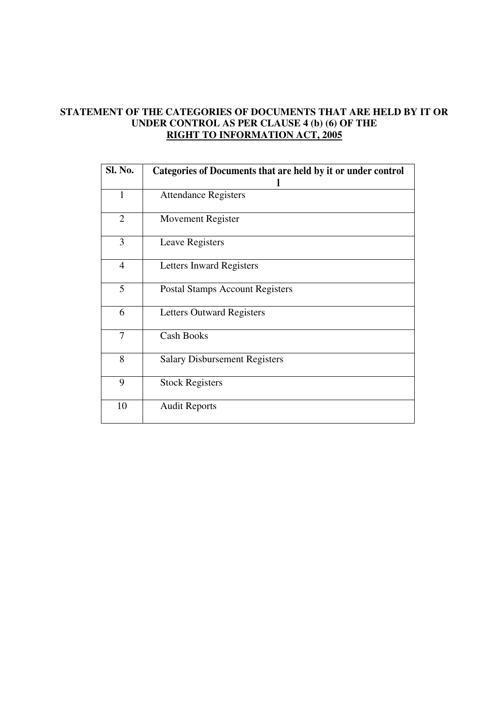### **STATEMENT OF THE CATEGORIES OF DOCUMENTS THAT ARE HELD BY IT OR UNDER CONTROL AS PER CLAUSE 4 (b) (6) OF THE RIGHT TO INFORMATION ACT, 2005**

| Sl. No.        | Categories of Documents that are held by it or under control |
|----------------|--------------------------------------------------------------|
| $\mathbf{1}$   | <b>Attendance Registers</b>                                  |
| $\overline{2}$ | Movement Register                                            |
| 3              | Leave Registers                                              |
| $\overline{4}$ | Letters Inward Registers                                     |
| 5              | <b>Postal Stamps Account Registers</b>                       |
| 6              | <b>Letters Outward Registers</b>                             |
| 7              | <b>Cash Books</b>                                            |
| 8              | <b>Salary Disbursement Registers</b>                         |
| 9              | <b>Stock Registers</b>                                       |
| 10             | <b>Audit Reports</b>                                         |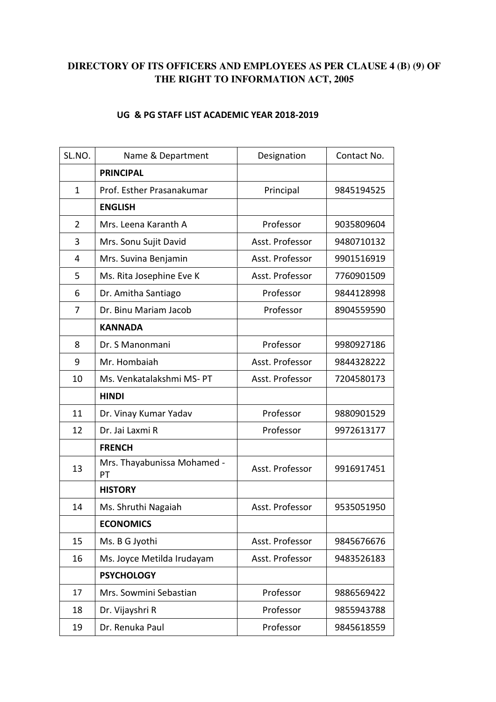# **DIRECTORY OF ITS OFFICERS AND EMPLOYEES AS PER CLAUSE 4 (B) (9) OF THE RIGHT TO INFORMATION ACT, 2005**

#### **UG & PG STAFF LIST ACADEMIC YEAR 2018-2019**

| SL.NO.         | Name & Department                 | Designation     | Contact No. |
|----------------|-----------------------------------|-----------------|-------------|
|                | <b>PRINCIPAL</b>                  |                 |             |
| $\mathbf{1}$   | Prof. Esther Prasanakumar         | Principal       | 9845194525  |
|                | <b>ENGLISH</b>                    |                 |             |
| $\overline{2}$ | Mrs. Leena Karanth A              | Professor       | 9035809604  |
| 3              | Mrs. Sonu Sujit David             | Asst. Professor | 9480710132  |
| 4              | Mrs. Suvina Benjamin              | Asst. Professor | 9901516919  |
| 5              | Ms. Rita Josephine Eve K          | Asst. Professor | 7760901509  |
| 6              | Dr. Amitha Santiago               | Professor       | 9844128998  |
| 7              | Dr. Binu Mariam Jacob             | Professor       | 8904559590  |
|                | <b>KANNADA</b>                    |                 |             |
| 8              | Dr. S Manonmani                   | Professor       | 9980927186  |
| 9              | Mr. Hombaiah                      | Asst. Professor | 9844328222  |
| 10             | Ms. Venkatalakshmi MS-PT          | Asst. Professor | 7204580173  |
|                | <b>HINDI</b>                      |                 |             |
| 11             | Dr. Vinay Kumar Yadav             | Professor       | 9880901529  |
| 12             | Dr. Jai Laxmi R                   | Professor       | 9972613177  |
|                | <b>FRENCH</b>                     |                 |             |
| 13             | Mrs. Thayabunissa Mohamed -<br>PT | Asst. Professor | 9916917451  |
|                | <b>HISTORY</b>                    |                 |             |
| 14             | Ms. Shruthi Nagaiah               | Asst. Professor | 9535051950  |
|                | <b>ECONOMICS</b>                  |                 |             |
| 15             | Ms. B G Jyothi                    | Asst. Professor | 9845676676  |
| 16             | Ms. Joyce Metilda Irudayam        | Asst. Professor | 9483526183  |
|                | <b>PSYCHOLOGY</b>                 |                 |             |
| 17             | Mrs. Sowmini Sebastian            | Professor       | 9886569422  |
| 18             | Dr. Vijayshri R                   | Professor       | 9855943788  |
| 19             | Dr. Renuka Paul                   | Professor       | 9845618559  |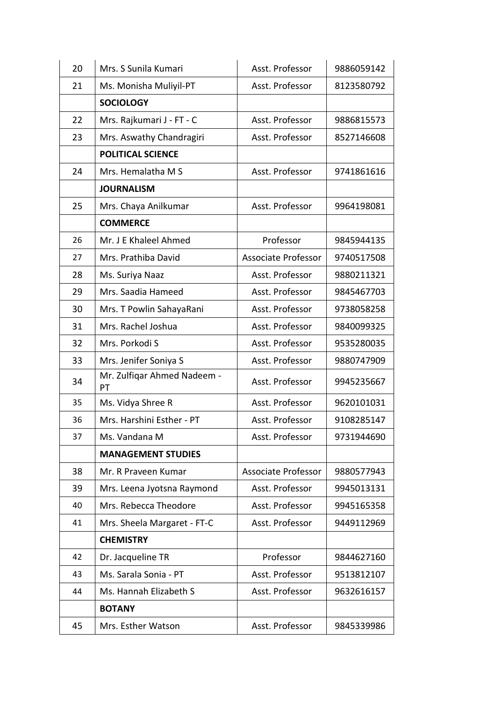| 20 | Mrs. S Sunila Kumari              | Asst. Professor     | 9886059142 |
|----|-----------------------------------|---------------------|------------|
| 21 | Ms. Monisha Muliyil-PT            | Asst. Professor     | 8123580792 |
|    | <b>SOCIOLOGY</b>                  |                     |            |
| 22 | Mrs. Rajkumari J - FT - C         | Asst. Professor     | 9886815573 |
| 23 | Mrs. Aswathy Chandragiri          | Asst. Professor     | 8527146608 |
|    | <b>POLITICAL SCIENCE</b>          |                     |            |
| 24 | Mrs. Hemalatha M S                | Asst. Professor     | 9741861616 |
|    | <b>JOURNALISM</b>                 |                     |            |
| 25 | Mrs. Chaya Anilkumar              | Asst. Professor     | 9964198081 |
|    | <b>COMMERCE</b>                   |                     |            |
| 26 | Mr. J E Khaleel Ahmed             | Professor           | 9845944135 |
| 27 | Mrs. Prathiba David               | Associate Professor | 9740517508 |
| 28 | Ms. Suriya Naaz                   | Asst. Professor     | 9880211321 |
| 29 | Mrs. Saadia Hameed                | Asst. Professor     | 9845467703 |
| 30 | Mrs. T Powlin SahayaRani          | Asst. Professor     | 9738058258 |
| 31 | Mrs. Rachel Joshua                | Asst. Professor     | 9840099325 |
| 32 | Mrs. Porkodi S                    | Asst. Professor     | 9535280035 |
| 33 | Mrs. Jenifer Soniya S             | Asst. Professor     | 9880747909 |
| 34 | Mr. Zulfiqar Ahmed Nadeem -<br>PT | Asst. Professor     | 9945235667 |
| 35 | Ms. Vidya Shree R                 | Asst. Professor     | 9620101031 |
| 36 | Mrs. Harshini Esther - PT         | Asst. Professor     | 9108285147 |
| 37 | Ms. Vandana M                     | Asst. Professor     | 9731944690 |
|    | <b>MANAGEMENT STUDIES</b>         |                     |            |
| 38 | Mr. R Praveen Kumar               | Associate Professor | 9880577943 |
| 39 | Mrs. Leena Jyotsna Raymond        | Asst. Professor     | 9945013131 |
| 40 | Mrs. Rebecca Theodore             | Asst. Professor     | 9945165358 |
| 41 | Mrs. Sheela Margaret - FT-C       | Asst. Professor     | 9449112969 |
|    | <b>CHEMISTRY</b>                  |                     |            |
| 42 | Dr. Jacqueline TR                 | Professor           | 9844627160 |
| 43 | Ms. Sarala Sonia - PT             | Asst. Professor     | 9513812107 |
| 44 | Ms. Hannah Elizabeth S            | Asst. Professor     | 9632616157 |
|    | <b>BOTANY</b>                     |                     |            |
| 45 | Mrs. Esther Watson                | Asst. Professor     | 9845339986 |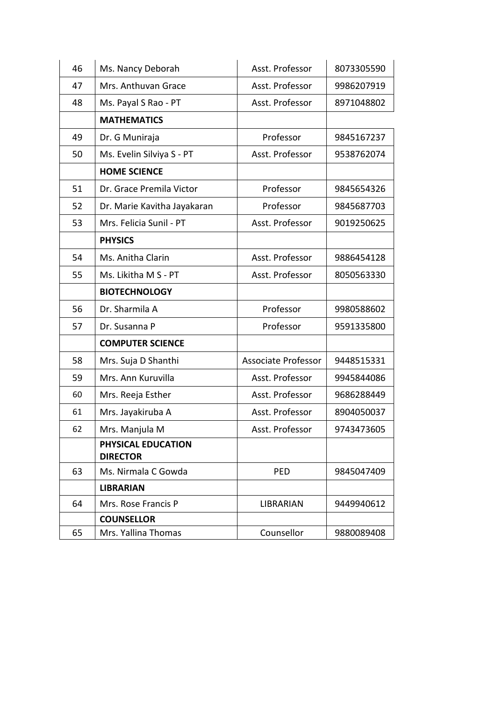| 46 | Ms. Nancy Deborah                     | Asst. Professor            | 8073305590 |
|----|---------------------------------------|----------------------------|------------|
| 47 | Mrs. Anthuvan Grace                   | Asst. Professor            | 9986207919 |
| 48 | Ms. Payal S Rao - PT                  | Asst. Professor            | 8971048802 |
|    | <b>MATHEMATICS</b>                    |                            |            |
| 49 | Dr. G Muniraja                        | Professor                  | 9845167237 |
| 50 | Ms. Evelin Silviya S - PT             | Asst. Professor            | 9538762074 |
|    | <b>HOME SCIENCE</b>                   |                            |            |
| 51 | Dr. Grace Premila Victor              | Professor                  | 9845654326 |
| 52 | Dr. Marie Kavitha Jayakaran           | Professor                  | 9845687703 |
| 53 | Mrs. Felicia Sunil - PT               | Asst. Professor            | 9019250625 |
|    | <b>PHYSICS</b>                        |                            |            |
| 54 | Ms. Anitha Clarin                     | Asst. Professor            | 9886454128 |
| 55 | Ms. Likitha M S - PT                  | Asst. Professor            | 8050563330 |
|    | <b>BIOTECHNOLOGY</b>                  |                            |            |
| 56 | Dr. Sharmila A                        | Professor                  | 9980588602 |
| 57 | Dr. Susanna P                         | Professor                  | 9591335800 |
|    | <b>COMPUTER SCIENCE</b>               |                            |            |
| 58 | Mrs. Suja D Shanthi                   | <b>Associate Professor</b> | 9448515331 |
| 59 | Mrs. Ann Kuruvilla                    | Asst. Professor            | 9945844086 |
| 60 | Mrs. Reeja Esther                     | Asst. Professor            | 9686288449 |
| 61 | Mrs. Jayakiruba A                     | Asst. Professor            | 8904050037 |
| 62 | Mrs. Manjula M                        | Asst. Professor            | 9743473605 |
|    | PHYSICAL EDUCATION<br><b>DIRECTOR</b> |                            |            |
| 63 | Ms. Nirmala C Gowda                   | <b>PED</b>                 | 9845047409 |
|    | <b>LIBRARIAN</b>                      |                            |            |
| 64 | Mrs. Rose Francis P                   | <b>LIBRARIAN</b>           | 9449940612 |
|    | <b>COUNSELLOR</b>                     |                            |            |
| 65 | Mrs. Yallina Thomas                   | Counsellor                 | 9880089408 |